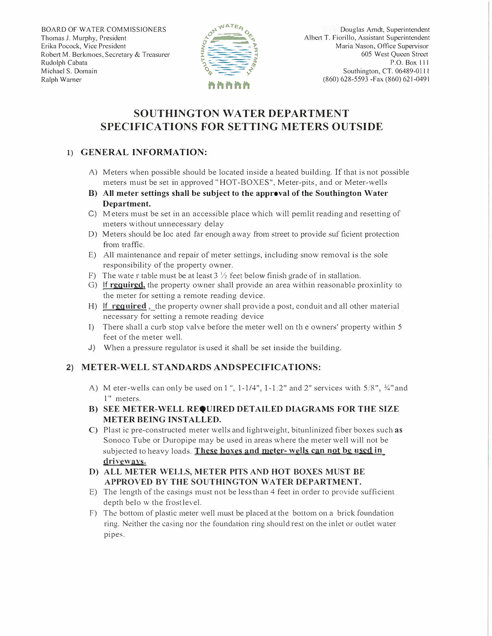BOARD OF WATER COMMISSIONERS Thomas J. Murphy, President Erika Pocock, Vice President Robert M. Berkmoes, Secretary & Treasurer Rudolph Cabata Michael S. Domain Ralph Warner



Douglas Arndt, Superintendent Albert T. Fiorillo, Assistant Superintendent Maria Nason, Office Supervisor 605 West Queen Street P.O. Box 111 Southington, CT. 06489-0111 (860) 628-5593 -Fax (860) 621-0491

# **SOUTHINGTON WATER DEPARTMENT SPECIFICATIONS FOR SETTING METERS OUTSIDE**

### **I) GENERAL INFORMATION:**

- A) Meters when possible should be located inside a heated building. If that is not possible meters must be set in approved "HOT-BOXES", Meter-pits, and or Meter-wells
- **B)** All meter settings shall be subject to the approval of the Southington Water **Department.**
- C) Meters must be set in an accessible place which will pemlit reading and resetting of meters without unnecessary delay
- D) Meters should be Joe ated far enough away from street to provide sufficient protection from traffic.
- E) All maintenance and repair of meter settings, including snow removal is the sole responsibility of the property owner.
- F) The wate r table must be at least  $3\frac{1}{2}$  feet below finish grade of in stallation.
- G) If **reguired.** the property owner shall provide an area within reasonable proxinlity to the meter for setting a remote reading device.
- H) If **required**, the property owner shall provide a post, conduit and all other material necessary for setting a remote reading device
- I) There shall a curb stop valve before the meter well on th e owners' property within 5 feet of the meter well.
- J) When a pressure regulator is used it shall be set inside the building.

### 2) **METER-WELL STANDARDS ANDSPECIFICATIONS:**

- A) M eter-wells can only be used on 1",  $1-1/4$ ",  $1-1/2$ " and 2" services with  $5/8$ ",  $\frac{3}{4}$ " and l" meters.
- **B) SEE METER-WELL REQUIRED DETAILED DIAGRAMS FOR THE SIZE METER BEING INSTALLED.**
- **C)** Plast ic pre-constructed meter wells and lightweight, bitunlinized fiber boxes such **as** Sonoco Tube or Duropipe may be used in areas where the meter well will not be subjected to heavy loads. **These boxes and meter- wells can not be used in driveways.**
- **D) ALL METER WELLS, METER PlTS AND HOT BOXES MUST BE APPROVED BY THE SOUTHINGTON WATER DEPARTMENT.**
- E) The length of the casings must not be less than 4 feet in order to provide sufficient depth belo w the frost level.
- F) The bottom of plastic meter well must be placed at the bottom on a brick foundation ring. Neither the casing nor the foundation ring should rest on the inlet or outlet water pipes.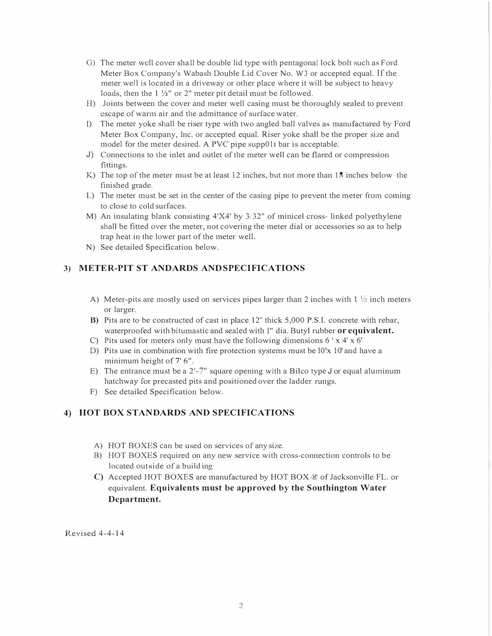- G) The meter well cover sha II be double lid type with pentagonal lock bolt such as Ford Meter Box Company's Wabash Double Lid Cover No. W3 or accepted equal. If the meter well is located in a driveway or other place where it will be subject to heavy loads, then the 1 ½" or 2" meter pit detail must be followed.
- H) Joints between the cover and meter well casing must be thoroughly sealed to prevent escape of warm air and the admittance of surface water.
- I) The meter yoke shall be riser type with two angled ball valves as manufactured by Ford Meter Box Company, Inc. or accepted equal. Riser yoke shall be the proper size and model for the meter desired. A PVC pipe supp01t bar is acceptable.
- J) Connections to the inlet and outlet of the meter well can be flared or compression fittings.
- K) The top of the meter must be at least 12 inches, but not more than 18 inches below the finished grade.
- L) The meter must be set in the center of the casing pipe to prevent the meter from coming to close to cold surfaces.
- M) An insulating blank consisting  $4'X4'$  by  $3/32''$  of minicel cross- linked polyethylene shall be fitted over the meter, not covering the meter dial or accessories so as to help trap heat in the lower part of the meter well.
- N) See detailed Specification below.

#### **3) METER-PIT ST ANDARDS ANDSPECIFICATIONS**

- A) Meter-pits are mostly used on services pipes larger than 2 inches with  $1 \frac{1}{2}$  inch meters or larger.
- B) Pits are to be constructed of cast in place 12" thick 5,000 P.S.I. concrete with rebar, waterproofed with bitumastic and sealed with 1" dia. Butyl rubber or equivalent.
- C) Pits used for meters only must have the following dimensions  $6' \times 4' \times 6'$
- D) Pits use in combination with fire protection systems must be l0'x 10' and have a minimum height of 7' 6".
- E) The entrance must be a  $2'-7''$  square opening with a Bilco type  $J$  or equal aluminum hatchway for precasted pits and positioned over the ladder rungs.
- F) See detailed Specification below.

#### 4) HOT BOX STANDARDS AND SPECIFICATIONS

- A) HOT BOXES can be used on services of any size.
- 8) HOT BOXES required on any new service with cross-connection controls to be located outside of a build ing
- C) Accepted HOT BOXES are manufactured by HOT BOX@ of Jacksonville FL. or equivalent. **Equivalents must be approved by the Southington Water** Department.

Revised 4-4-14